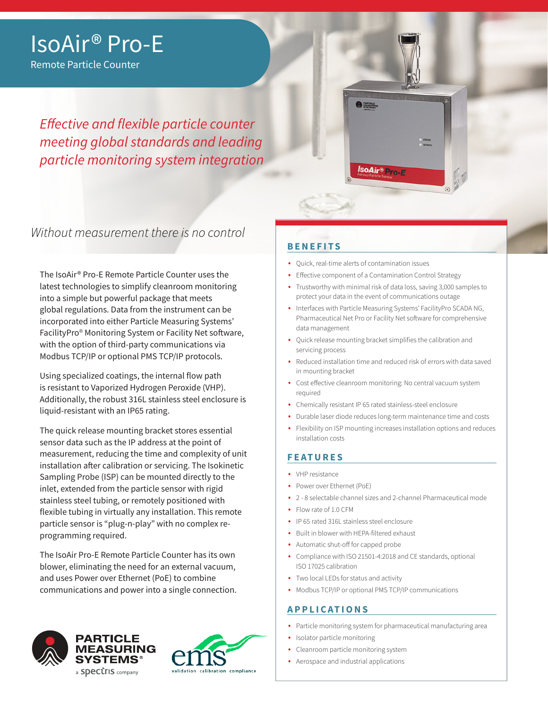## IsoAir® Pro-E

Remote Particle Counter

*Effective and flexible particle counter meeting global standards and leading particle monitoring system integration*

Without measurement there is no control

The IsoAir® Pro-E Remote Particle Counter uses the latest technologies to simplify cleanroom monitoring into a simple but powerful package that meets global regulations. Data from the instrument can be incorporated into either Particle Measuring Systems' FacilityPro® Monitoring System or Facility Net software, with the option of third-party communications via Modbus TCP/IP or optional PMS TCP/IP protocols.

Using specialized coatings, the internal flow path is resistant to Vaporized Hydrogen Peroxide (VHP). Additionally, the robust 316L stainless steel enclosure is liquid-resistant with an IP65 rating.

The quick release mounting bracket stores essential sensor data such as the IP address at the point of measurement, reducing the time and complexity of unit installation after calibration or servicing. The Isokinetic Sampling Probe (ISP) can be mounted directly to the inlet, extended from the particle sensor with rigid stainless steel tubing, or remotely positioned with flexible tubing in virtually any installation. This remote particle sensor is "plug-n-play" with no complex reprogramming required.

The IsoAir Pro-E Remote Particle Counter has its own blower, eliminating the need for an external vacuum, and uses Power over Ethernet (PoE) to combine communications and power into a single connection.





### **BENEFITS**

- Quick, real-time alerts of contamination issues
- Effective component of a Contamination Control Strategy

IsoAir® Pro-E

- Trustworthy with minimal risk of data loss, saving 3,000 samples to protect your data in the event of communications outage
- Interfaces with Particle Measuring Systems' FacilityPro SCADA NG, Pharmaceutical Net Pro or Facility Net software for comprehensive data management
- Quick release mounting bracket simplifies the calibration and servicing process
- Reduced installation time and reduced risk of errors with data saved in mounting bracket
- Cost effective cleanroom monitoring: No central vacuum system required
- Chemically resistant IP 65 rated stainless-steel enclosure
- Durable laser diode reduces long-term maintenance time and costs
- Flexibility on ISP mounting increases installation options and reduces installation costs

### **FEATURES**

- VHP resistance
- Power over Ethernet (PoE)
- 2 8 selectable channel sizes and 2-channel Pharmaceutical mode
- Flow rate of 1.0 CFM
- IP 65 rated 316L stainless steel enclosure
- Built in blower with HEPA-filtered exhaust
- Automatic shut-off for capped probe
- Compliance with ISO 21501-4:2018 and CE standards, optional ISO 17025 calibration
- Two local LEDs for status and activity
- Modbus TCP/IP or optional PMS TCP/IP communications

### **APPLICATIONS**

- Particle monitoring system for pharmaceutical manufacturing area
- Isolator particle monitoring
- Cleanroom particle monitoring system
- Aerospace and industrial applications